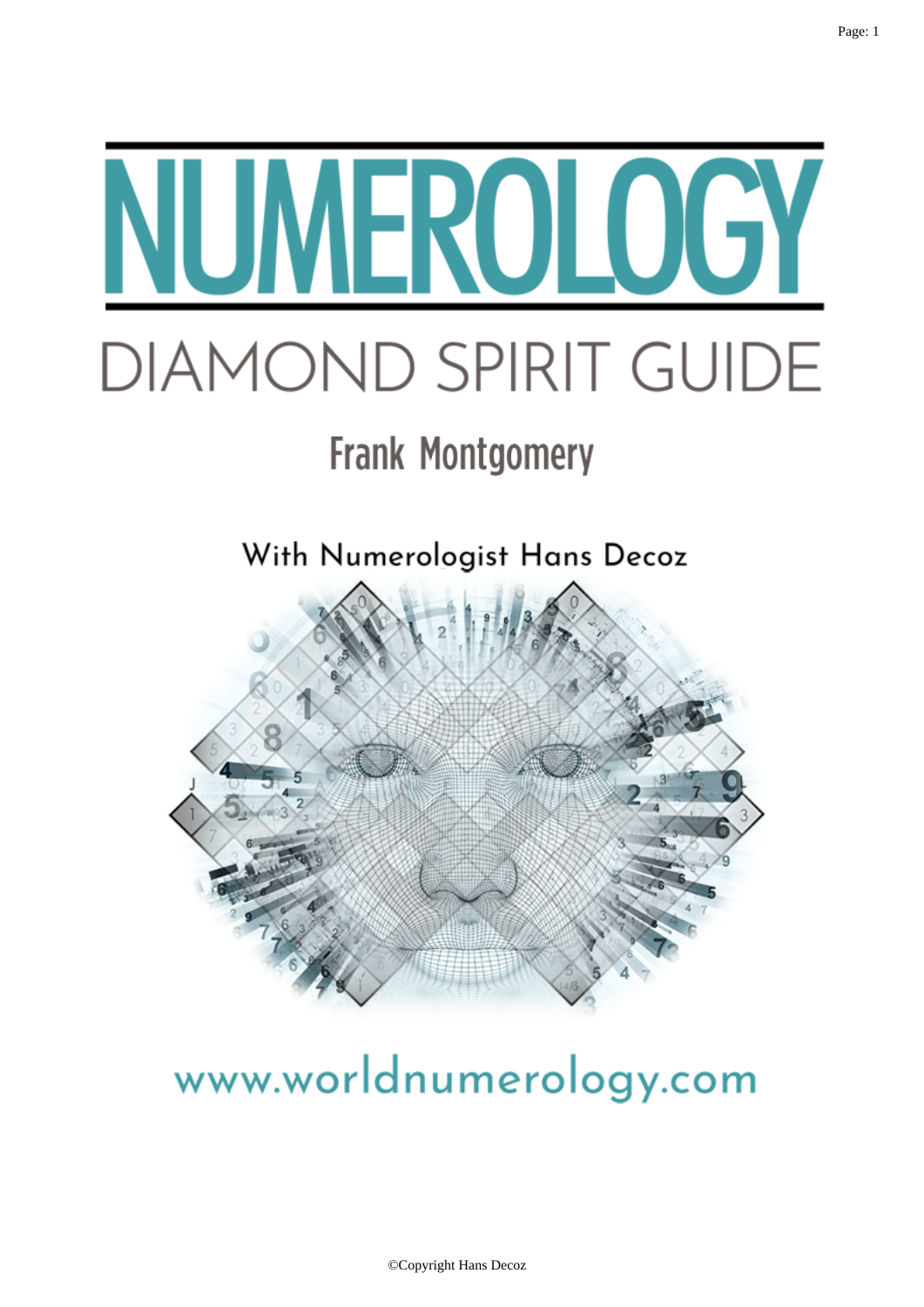

# www.worldnumerology.com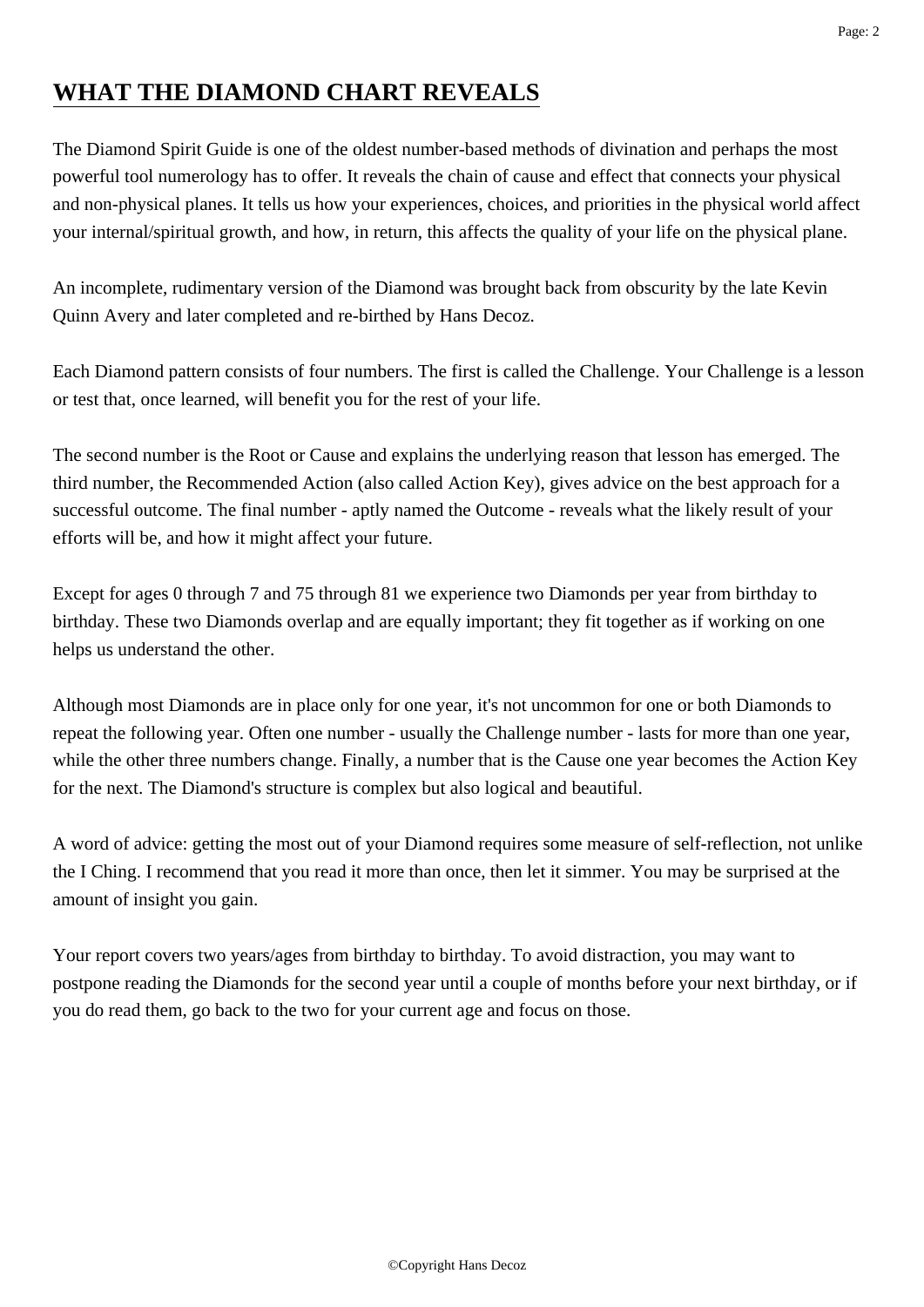# **WHAT THE DIAMOND CHART REVEALS**

The Diamond Spirit Guide is one of the oldest number-based methods of divination and perhaps the most powerful tool numerology has to offer. It reveals the chain of cause and effect that connects your physical and non-physical planes. It tells us how your experiences, choices, and priorities in the physical world affect your internal/spiritual growth, and how, in return, this affects the quality of your life on the physical plane.

An incomplete, rudimentary version of the Diamond was brought back from obscurity by the late Kevin Quinn Avery and later completed and re-birthed by Hans Decoz.

Each Diamond pattern consists of four numbers. The first is called the Challenge. Your Challenge is a lesson or test that, once learned, will benefit you for the rest of your life.

The second number is the Root or Cause and explains the underlying reason that lesson has emerged. The third number, the Recommended Action (also called Action Key), gives advice on the best approach for a successful outcome. The final number - aptly named the Outcome - reveals what the likely result of your efforts will be, and how it might affect your future.

Except for ages 0 through 7 and 75 through 81 we experience two Diamonds per year from birthday to birthday. These two Diamonds overlap and are equally important; they fit together as if working on one helps us understand the other.

Although most Diamonds are in place only for one year, it's not uncommon for one or both Diamonds to repeat the following year. Often one number - usually the Challenge number - lasts for more than one year, while the other three numbers change. Finally, a number that is the Cause one year becomes the Action Key for the next. The Diamond's structure is complex but also logical and beautiful.

A word of advice: getting the most out of your Diamond requires some measure of self-reflection, not unlike the I Ching. I recommend that you read it more than once, then let it simmer. You may be surprised at the amount of insight you gain.

Your report covers two years/ages from birthday to birthday. To avoid distraction, you may want to postpone reading the Diamonds for the second year until a couple of months before your next birthday, or if you do read them, go back to the two for your current age and focus on those.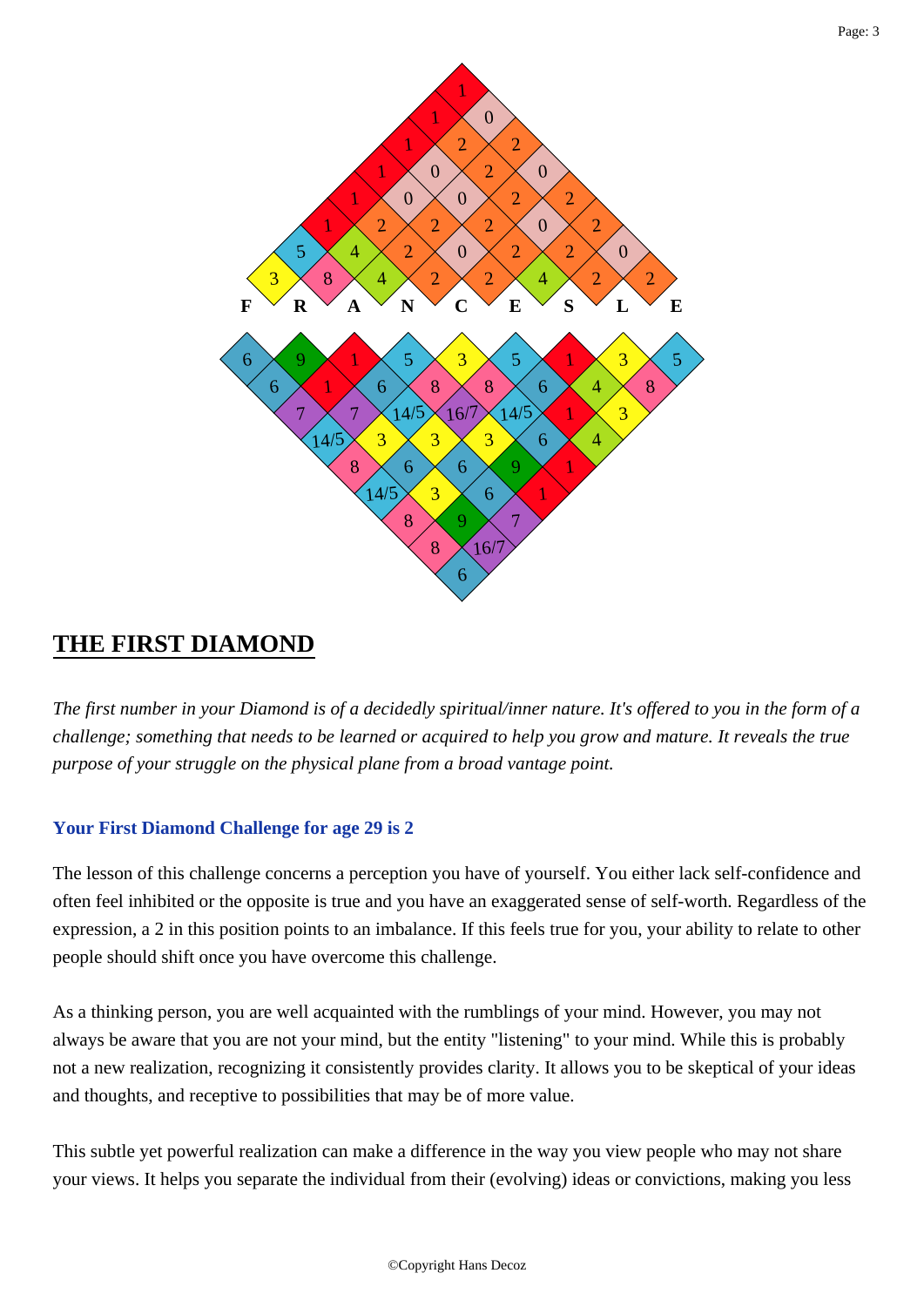

## **THE FIRST DIAMOND**

*The first number in your Diamond is of a decidedly spiritual/inner nature. It's offered to you in the form of a challenge; something that needs to be learned or acquired to help you grow and mature. It reveals the true purpose of your struggle on the physical plane from a broad vantage point.*

## **Your First Diamond Challenge for age 29 is 2**

The lesson of this challenge concerns a perception you have of yourself. You either lack self-confidence and often feel inhibited or the opposite is true and you have an exaggerated sense of self-worth. Regardless of the expression, a 2 in this position points to an imbalance. If this feels true for you, your ability to relate to other people should shift once you have overcome this challenge.

As a thinking person, you are well acquainted with the rumblings of your mind. However, you may not always be aware that you are not your mind, but the entity "listening" to your mind. While this is probably not a new realization, recognizing it consistently provides clarity. It allows you to be skeptical of your ideas and thoughts, and receptive to possibilities that may be of more value.

This subtle yet powerful realization can make a difference in the way you view people who may not share your views. It helps you separate the individual from their (evolving) ideas or convictions, making you less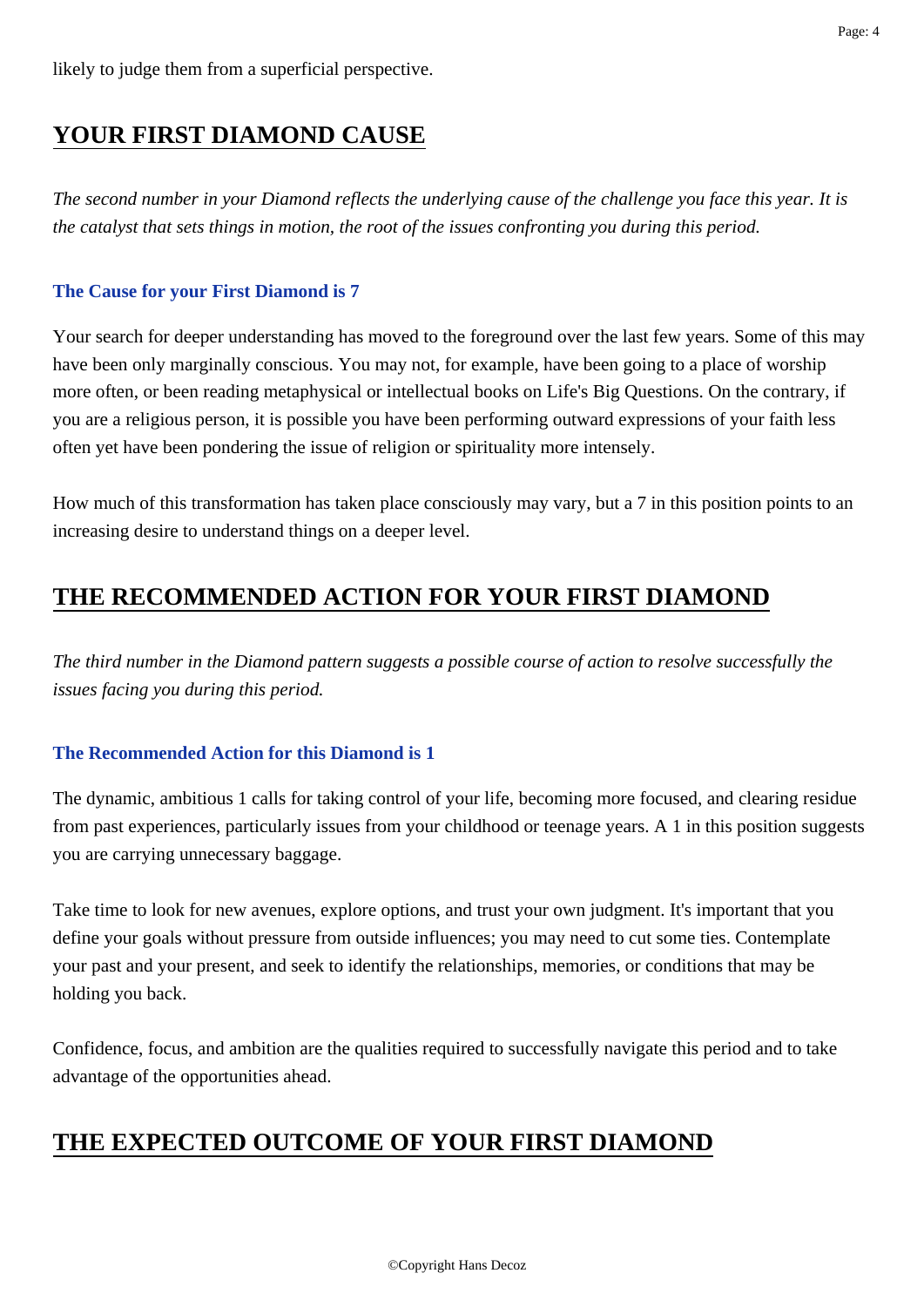# **YOUR FIRST DIAMOND CAUSE**

*The second number in your Diamond reflects the underlying cause of the challenge you face this year. It is the catalyst that sets things in motion, the root of the issues confronting you during this period.*

#### **The Cause for your First Diamond is 7**

Your search for deeper understanding has moved to the foreground over the last few years. Some of this may have been only marginally conscious. You may not, for example, have been going to a place of worship more often, or been reading metaphysical or intellectual books on Life's Big Questions. On the contrary, if you are a religious person, it is possible you have been performing outward expressions of your faith less often yet have been pondering the issue of religion or spirituality more intensely.

How much of this transformation has taken place consciously may vary, but a 7 in this position points to an increasing desire to understand things on a deeper level.

# **THE RECOMMENDED ACTION FOR YOUR FIRST DIAMOND**

*The third number in the Diamond pattern suggests a possible course of action to resolve successfully the issues facing you during this period.*

## **The Recommended Action for this Diamond is 1**

The dynamic, ambitious 1 calls for taking control of your life, becoming more focused, and clearing residue from past experiences, particularly issues from your childhood or teenage years. A 1 in this position suggests you are carrying unnecessary baggage.

Take time to look for new avenues, explore options, and trust your own judgment. It's important that you define your goals without pressure from outside influences; you may need to cut some ties. Contemplate your past and your present, and seek to identify the relationships, memories, or conditions that may be holding you back.

Confidence, focus, and ambition are the qualities required to successfully navigate this period and to take advantage of the opportunities ahead.

# **THE EXPECTED OUTCOME OF YOUR FIRST DIAMOND**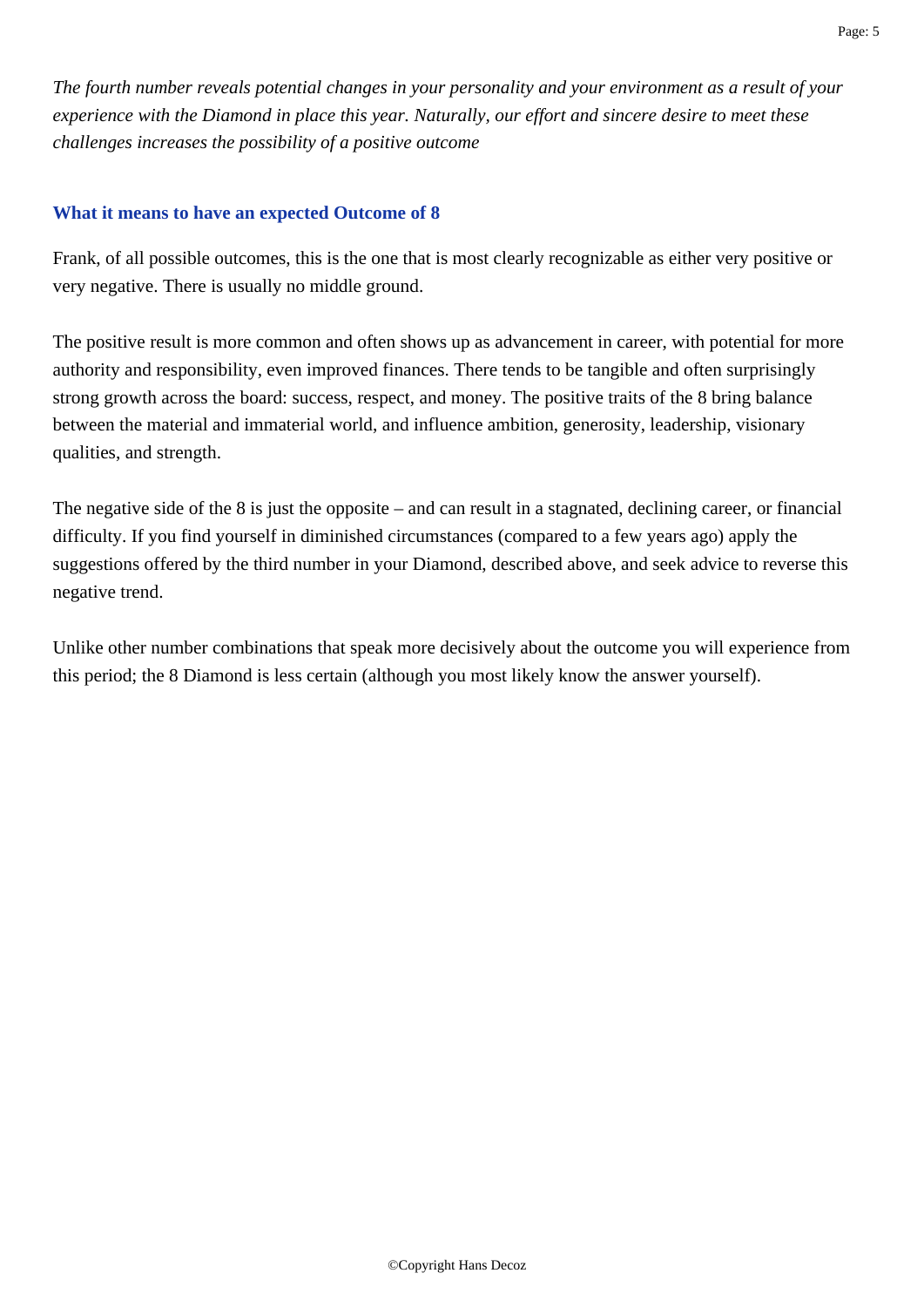*The fourth number reveals potential changes in your personality and your environment as a result of your experience with the Diamond in place this year. Naturally, our effort and sincere desire to meet these challenges increases the possibility of a positive outcome*

#### **What it means to have an expected Outcome of 8**

Frank, of all possible outcomes, this is the one that is most clearly recognizable as either very positive or very negative. There is usually no middle ground.

The positive result is more common and often shows up as advancement in career, with potential for more authority and responsibility, even improved finances. There tends to be tangible and often surprisingly strong growth across the board: success, respect, and money. The positive traits of the 8 bring balance between the material and immaterial world, and influence ambition, generosity, leadership, visionary qualities, and strength.

The negative side of the 8 is just the opposite – and can result in a stagnated, declining career, or financial difficulty. If you find yourself in diminished circumstances (compared to a few years ago) apply the suggestions offered by the third number in your Diamond, described above, and seek advice to reverse this negative trend.

Unlike other number combinations that speak more decisively about the outcome you will experience from this period; the 8 Diamond is less certain (although you most likely know the answer yourself).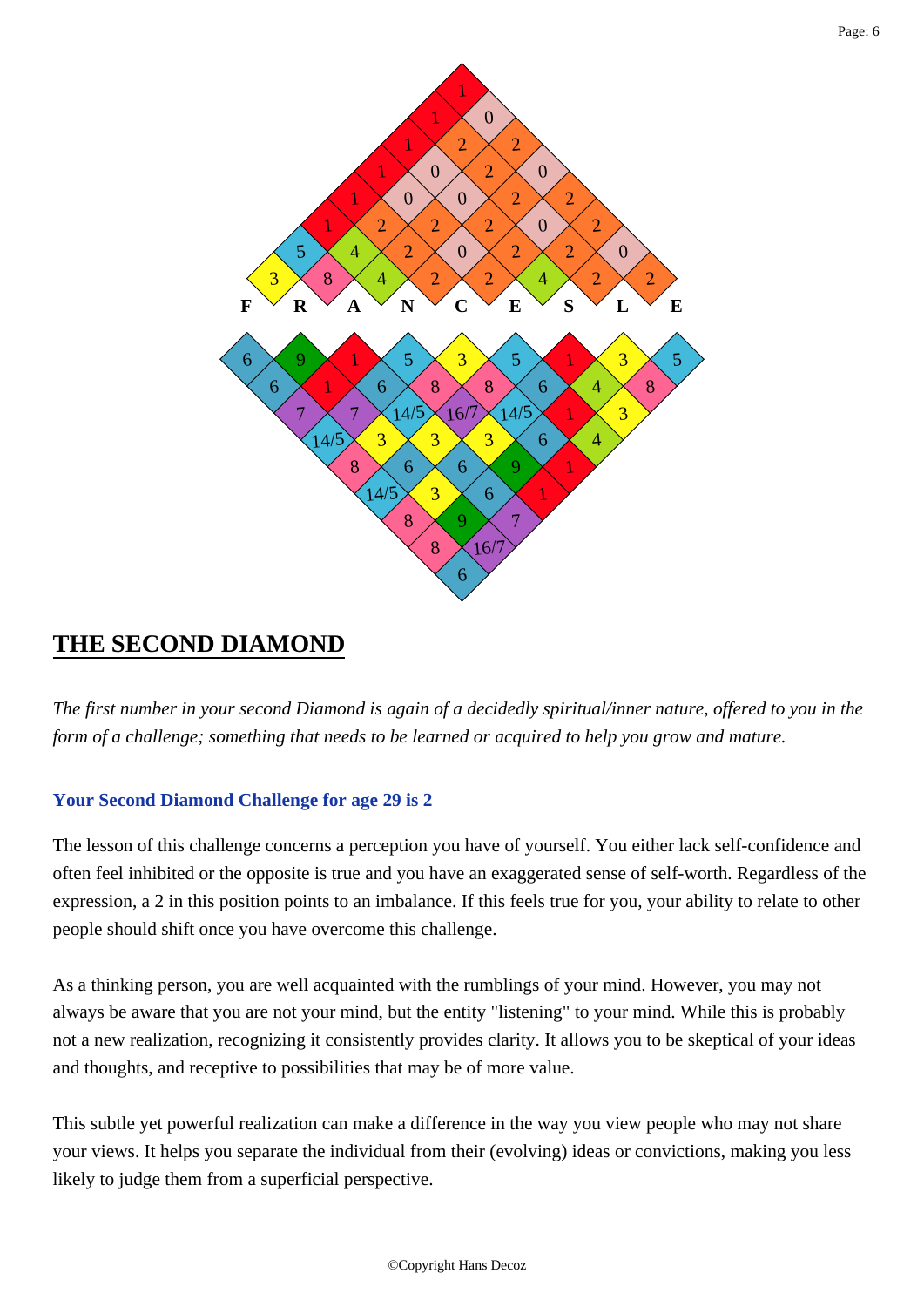

## **THE SECOND DIAMOND**

*The first number in your second Diamond is again of a decidedly spiritual/inner nature, offered to you in the form of a challenge; something that needs to be learned or acquired to help you grow and mature.*

## **Your Second Diamond Challenge for age 29 is 2**

The lesson of this challenge concerns a perception you have of yourself. You either lack self-confidence and often feel inhibited or the opposite is true and you have an exaggerated sense of self-worth. Regardless of the expression, a 2 in this position points to an imbalance. If this feels true for you, your ability to relate to other people should shift once you have overcome this challenge.

As a thinking person, you are well acquainted with the rumblings of your mind. However, you may not always be aware that you are not your mind, but the entity "listening" to your mind. While this is probably not a new realization, recognizing it consistently provides clarity. It allows you to be skeptical of your ideas and thoughts, and receptive to possibilities that may be of more value.

This subtle yet powerful realization can make a difference in the way you view people who may not share your views. It helps you separate the individual from their (evolving) ideas or convictions, making you less likely to judge them from a superficial perspective.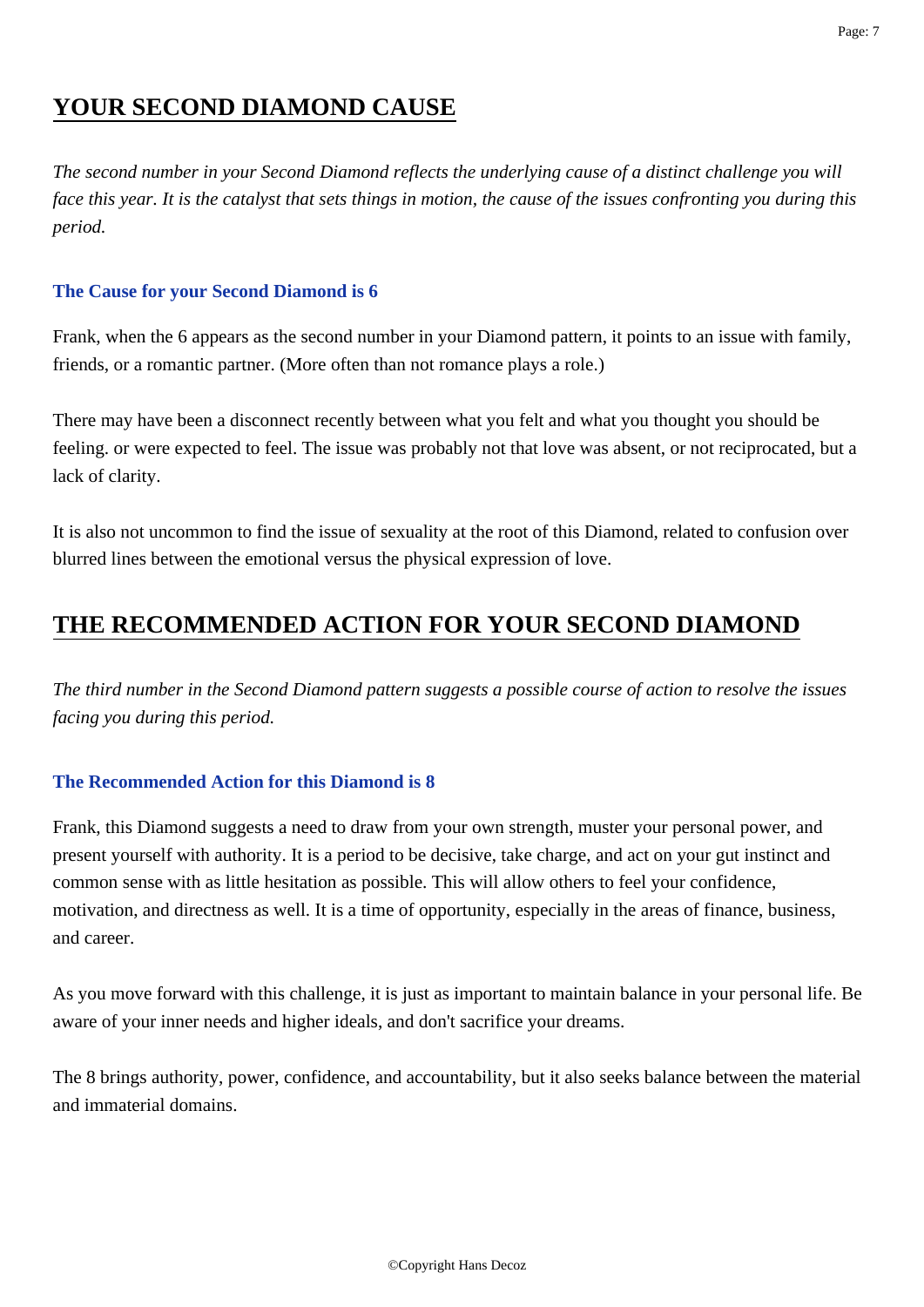# **YOUR SECOND DIAMOND CAUSE**

*The second number in your Second Diamond reflects the underlying cause of a distinct challenge you will face this year. It is the catalyst that sets things in motion, the cause of the issues confronting you during this period.*

## **The Cause for your Second Diamond is 6**

Frank, when the 6 appears as the second number in your Diamond pattern, it points to an issue with family, friends, or a romantic partner. (More often than not romance plays a role.)

There may have been a disconnect recently between what you felt and what you thought you should be feeling. or were expected to feel. The issue was probably not that love was absent, or not reciprocated, but a lack of clarity.

It is also not uncommon to find the issue of sexuality at the root of this Diamond, related to confusion over blurred lines between the emotional versus the physical expression of love.

# **THE RECOMMENDED ACTION FOR YOUR SECOND DIAMOND**

*The third number in the Second Diamond pattern suggests a possible course of action to resolve the issues facing you during this period.*

## **The Recommended Action for this Diamond is 8**

Frank, this Diamond suggests a need to draw from your own strength, muster your personal power, and present yourself with authority. It is a period to be decisive, take charge, and act on your gut instinct and common sense with as little hesitation as possible. This will allow others to feel your confidence, motivation, and directness as well. It is a time of opportunity, especially in the areas of finance, business, and career.

As you move forward with this challenge, it is just as important to maintain balance in your personal life. Be aware of your inner needs and higher ideals, and don't sacrifice your dreams.

The 8 brings authority, power, confidence, and accountability, but it also seeks balance between the material and immaterial domains.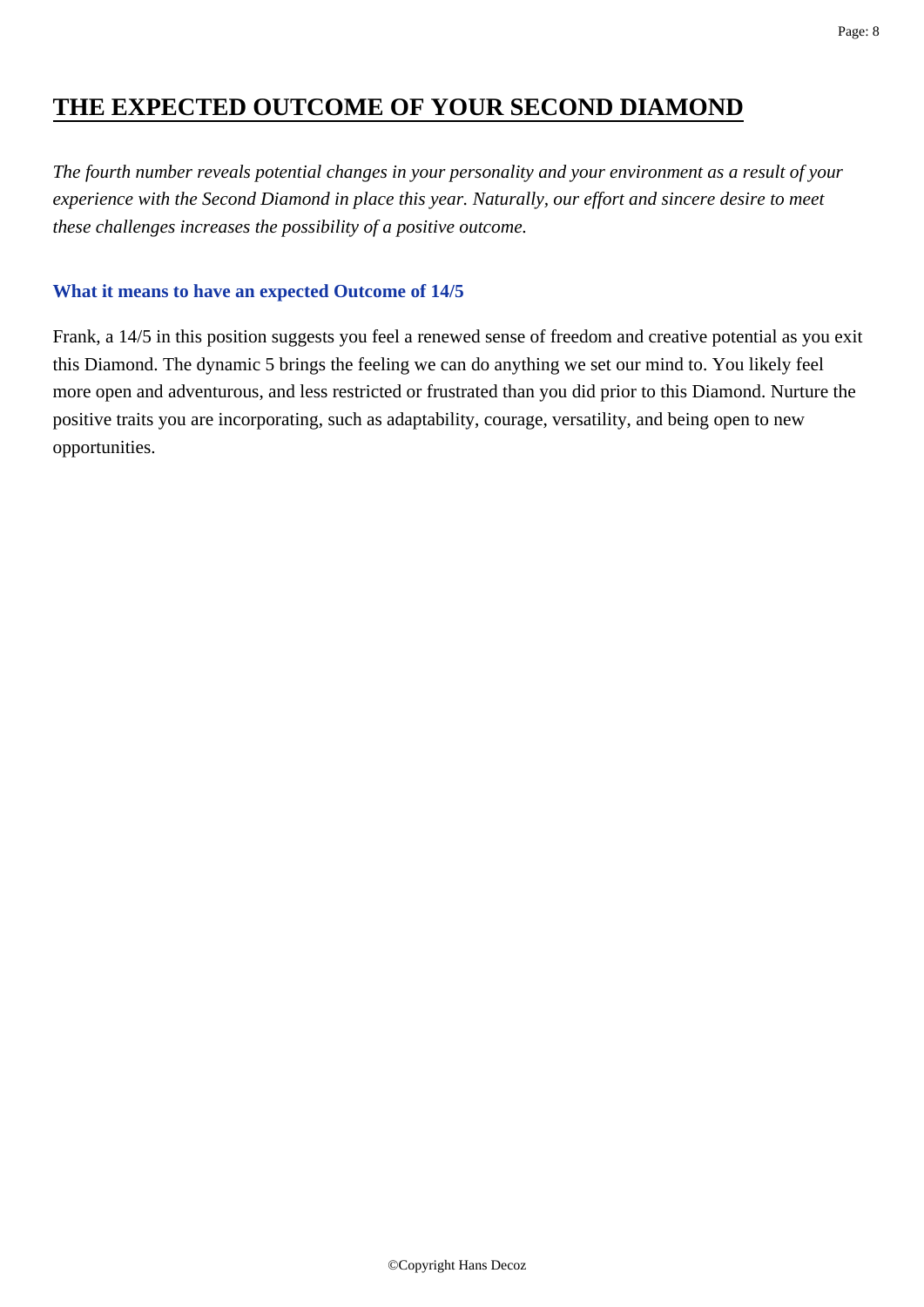# **THE EXPECTED OUTCOME OF YOUR SECOND DIAMOND**

*The fourth number reveals potential changes in your personality and your environment as a result of your experience with the Second Diamond in place this year. Naturally, our effort and sincere desire to meet these challenges increases the possibility of a positive outcome.*

#### **What it means to have an expected Outcome of 14/5**

Frank, a 14/5 in this position suggests you feel a renewed sense of freedom and creative potential as you exit this Diamond. The dynamic 5 brings the feeling we can do anything we set our mind to. You likely feel more open and adventurous, and less restricted or frustrated than you did prior to this Diamond. Nurture the positive traits you are incorporating, such as adaptability, courage, versatility, and being open to new opportunities.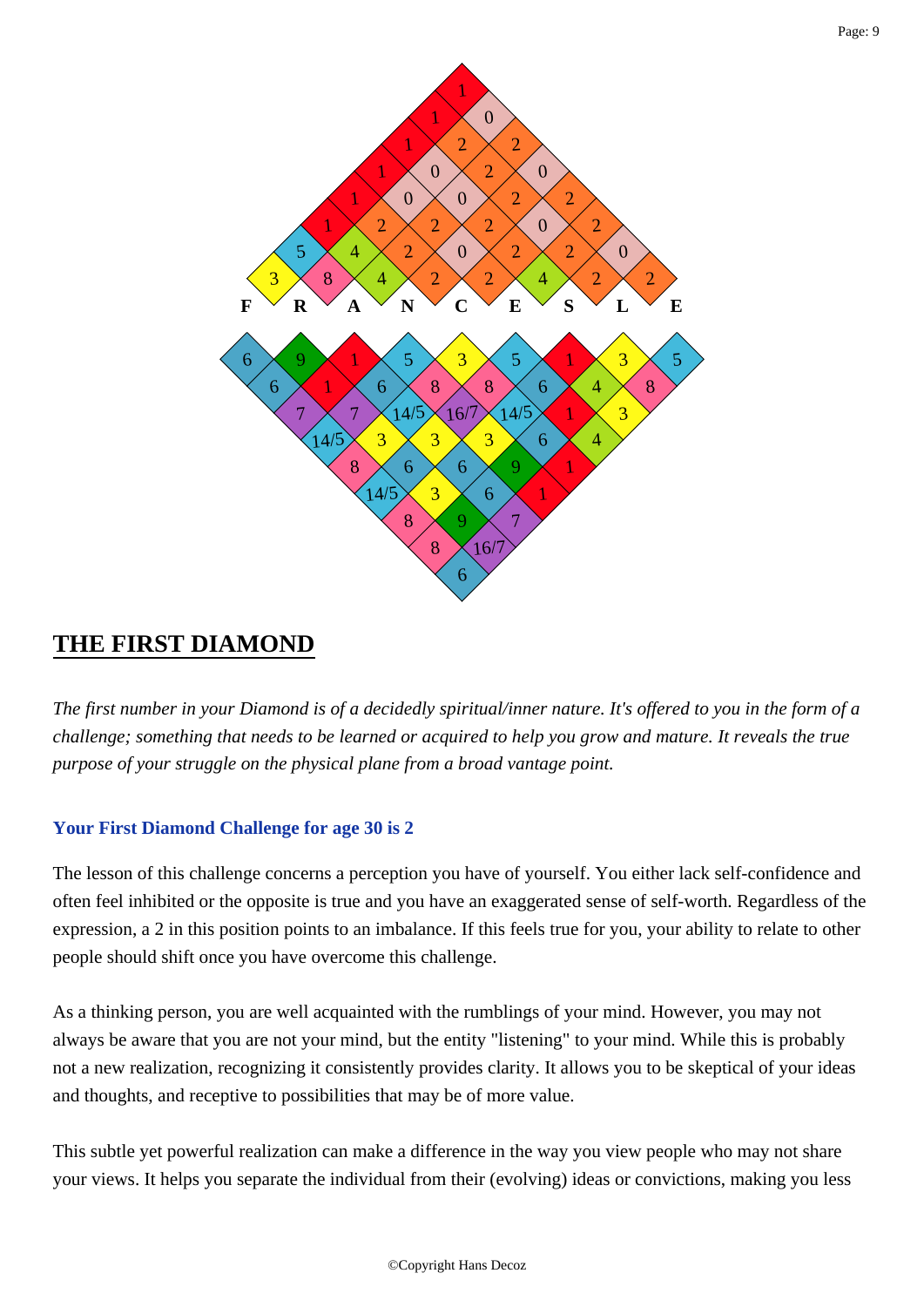

## **THE FIRST DIAMOND**

*The first number in your Diamond is of a decidedly spiritual/inner nature. It's offered to you in the form of a challenge; something that needs to be learned or acquired to help you grow and mature. It reveals the true purpose of your struggle on the physical plane from a broad vantage point.*

## **Your First Diamond Challenge for age 30 is 2**

The lesson of this challenge concerns a perception you have of yourself. You either lack self-confidence and often feel inhibited or the opposite is true and you have an exaggerated sense of self-worth. Regardless of the expression, a 2 in this position points to an imbalance. If this feels true for you, your ability to relate to other people should shift once you have overcome this challenge.

As a thinking person, you are well acquainted with the rumblings of your mind. However, you may not always be aware that you are not your mind, but the entity "listening" to your mind. While this is probably not a new realization, recognizing it consistently provides clarity. It allows you to be skeptical of your ideas and thoughts, and receptive to possibilities that may be of more value.

This subtle yet powerful realization can make a difference in the way you view people who may not share your views. It helps you separate the individual from their (evolving) ideas or convictions, making you less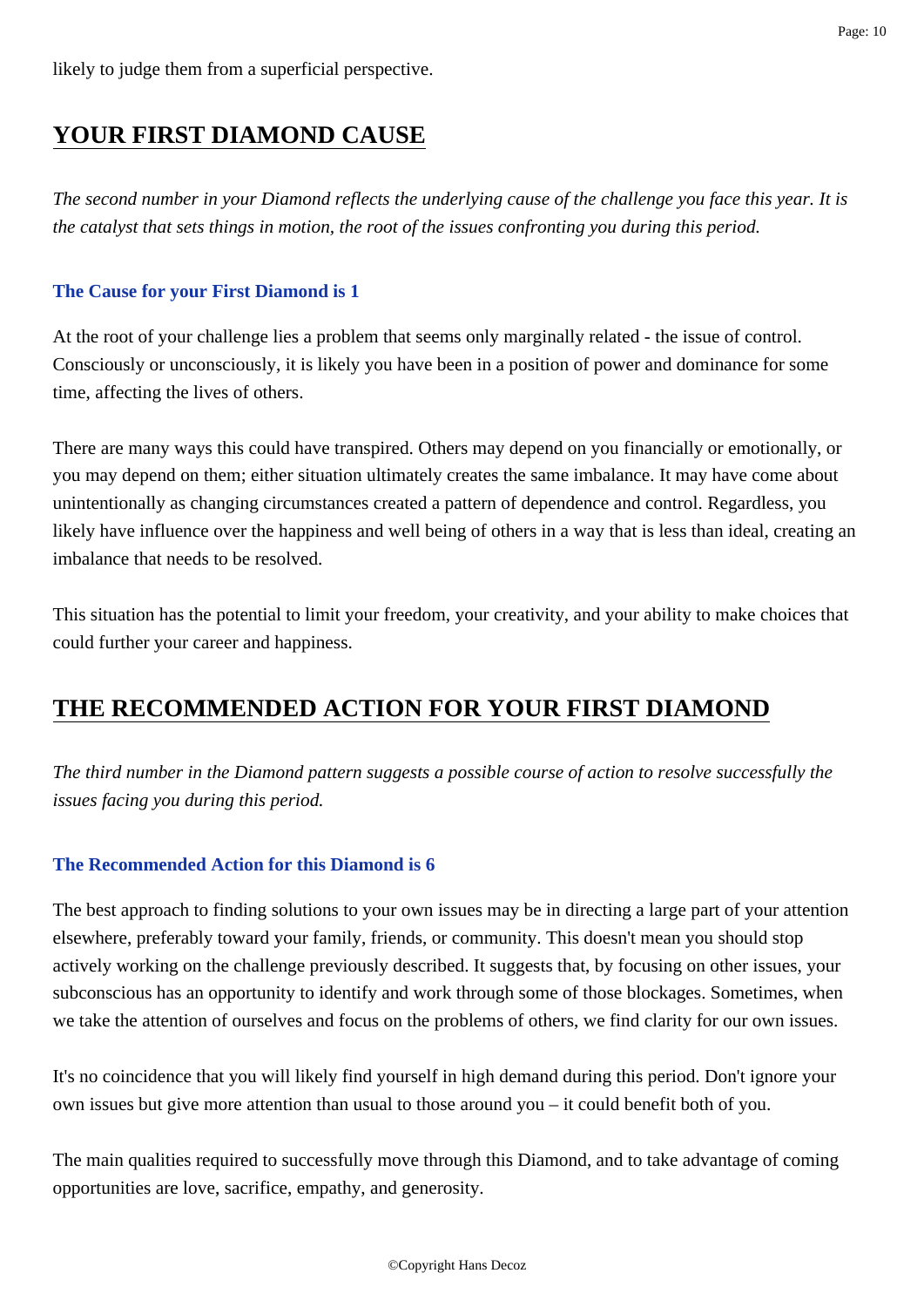# **YOUR FIRST DIAMOND CAUSE**

*The second number in your Diamond reflects the underlying cause of the challenge you face this year. It is the catalyst that sets things in motion, the root of the issues confronting you during this period.*

#### **The Cause for your First Diamond is 1**

At the root of your challenge lies a problem that seems only marginally related - the issue of control. Consciously or unconsciously, it is likely you have been in a position of power and dominance for some time, affecting the lives of others.

There are many ways this could have transpired. Others may depend on you financially or emotionally, or you may depend on them; either situation ultimately creates the same imbalance. It may have come about unintentionally as changing circumstances created a pattern of dependence and control. Regardless, you likely have influence over the happiness and well being of others in a way that is less than ideal, creating an imbalance that needs to be resolved.

This situation has the potential to limit your freedom, your creativity, and your ability to make choices that could further your career and happiness.

# **THE RECOMMENDED ACTION FOR YOUR FIRST DIAMOND**

*The third number in the Diamond pattern suggests a possible course of action to resolve successfully the issues facing you during this period.*

## **The Recommended Action for this Diamond is 6**

The best approach to finding solutions to your own issues may be in directing a large part of your attention elsewhere, preferably toward your family, friends, or community. This doesn't mean you should stop actively working on the challenge previously described. It suggests that, by focusing on other issues, your subconscious has an opportunity to identify and work through some of those blockages. Sometimes, when we take the attention of ourselves and focus on the problems of others, we find clarity for our own issues.

It's no coincidence that you will likely find yourself in high demand during this period. Don't ignore your own issues but give more attention than usual to those around you – it could benefit both of you.

The main qualities required to successfully move through this Diamond, and to take advantage of coming opportunities are love, sacrifice, empathy, and generosity.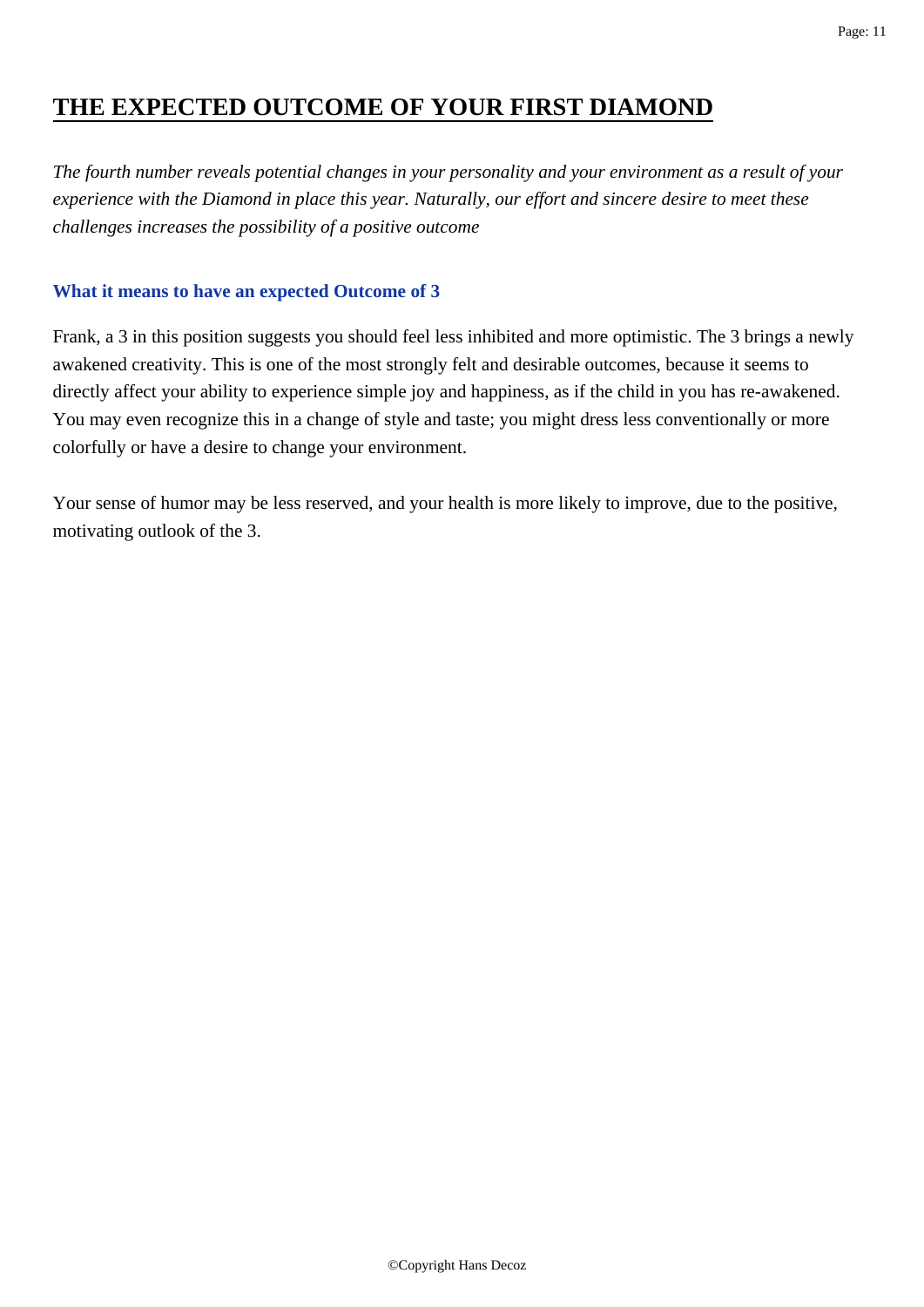# **THE EXPECTED OUTCOME OF YOUR FIRST DIAMOND**

*The fourth number reveals potential changes in your personality and your environment as a result of your experience with the Diamond in place this year. Naturally, our effort and sincere desire to meet these challenges increases the possibility of a positive outcome*

#### **What it means to have an expected Outcome of 3**

Frank, a 3 in this position suggests you should feel less inhibited and more optimistic. The 3 brings a newly awakened creativity. This is one of the most strongly felt and desirable outcomes, because it seems to directly affect your ability to experience simple joy and happiness, as if the child in you has re-awakened. You may even recognize this in a change of style and taste; you might dress less conventionally or more colorfully or have a desire to change your environment.

Your sense of humor may be less reserved, and your health is more likely to improve, due to the positive, motivating outlook of the 3.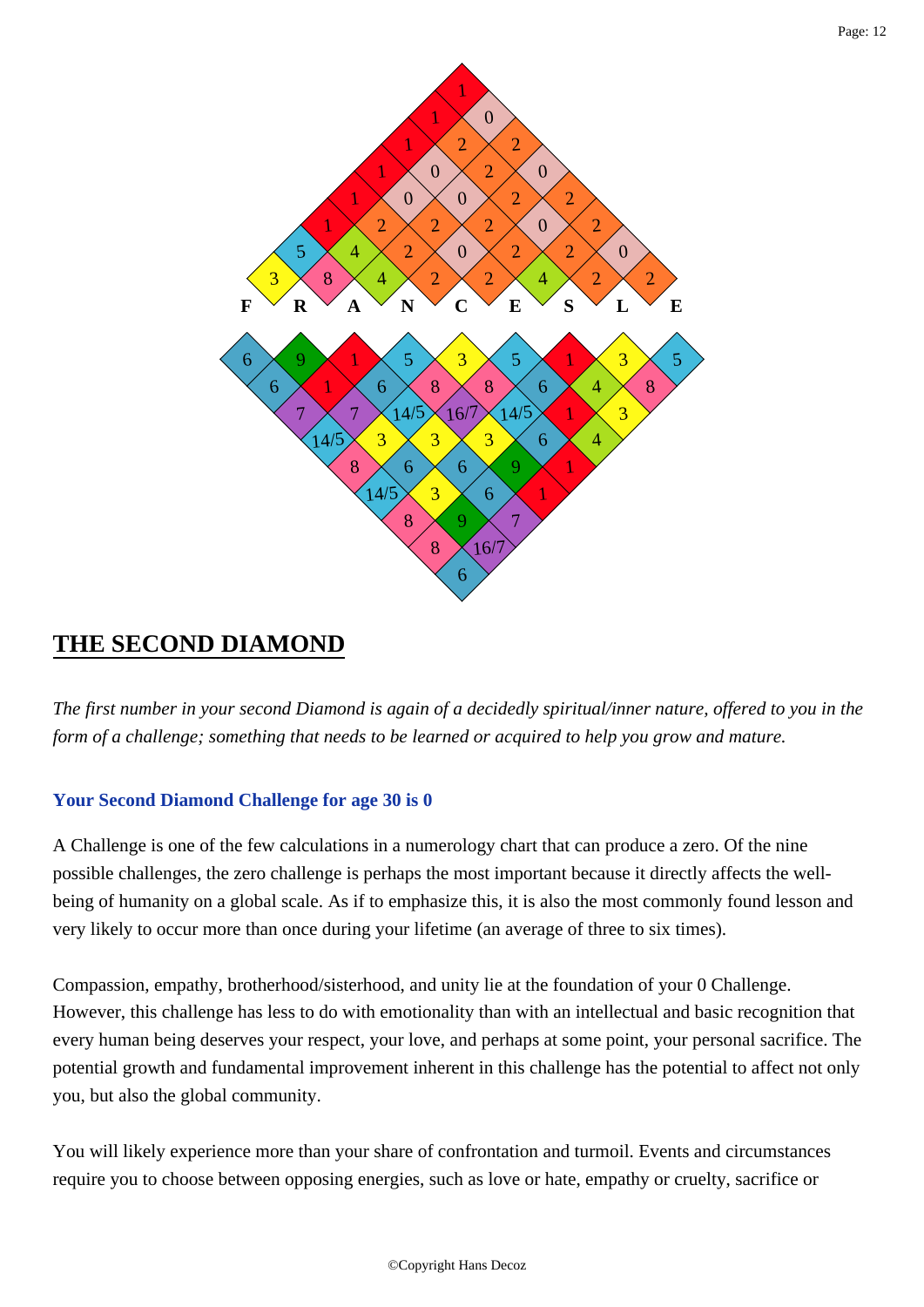

## **THE SECOND DIAMOND**

*The first number in your second Diamond is again of a decidedly spiritual/inner nature, offered to you in the form of a challenge; something that needs to be learned or acquired to help you grow and mature.*

## **Your Second Diamond Challenge for age 30 is 0**

A Challenge is one of the few calculations in a numerology chart that can produce a zero. Of the nine possible challenges, the zero challenge is perhaps the most important because it directly affects the wellbeing of humanity on a global scale. As if to emphasize this, it is also the most commonly found lesson and very likely to occur more than once during your lifetime (an average of three to six times).

Compassion, empathy, brotherhood/sisterhood, and unity lie at the foundation of your 0 Challenge. However, this challenge has less to do with emotionality than with an intellectual and basic recognition that every human being deserves your respect, your love, and perhaps at some point, your personal sacrifice. The potential growth and fundamental improvement inherent in this challenge has the potential to affect not only you, but also the global community.

You will likely experience more than your share of confrontation and turmoil. Events and circumstances require you to choose between opposing energies, such as love or hate, empathy or cruelty, sacrifice or

Page: 12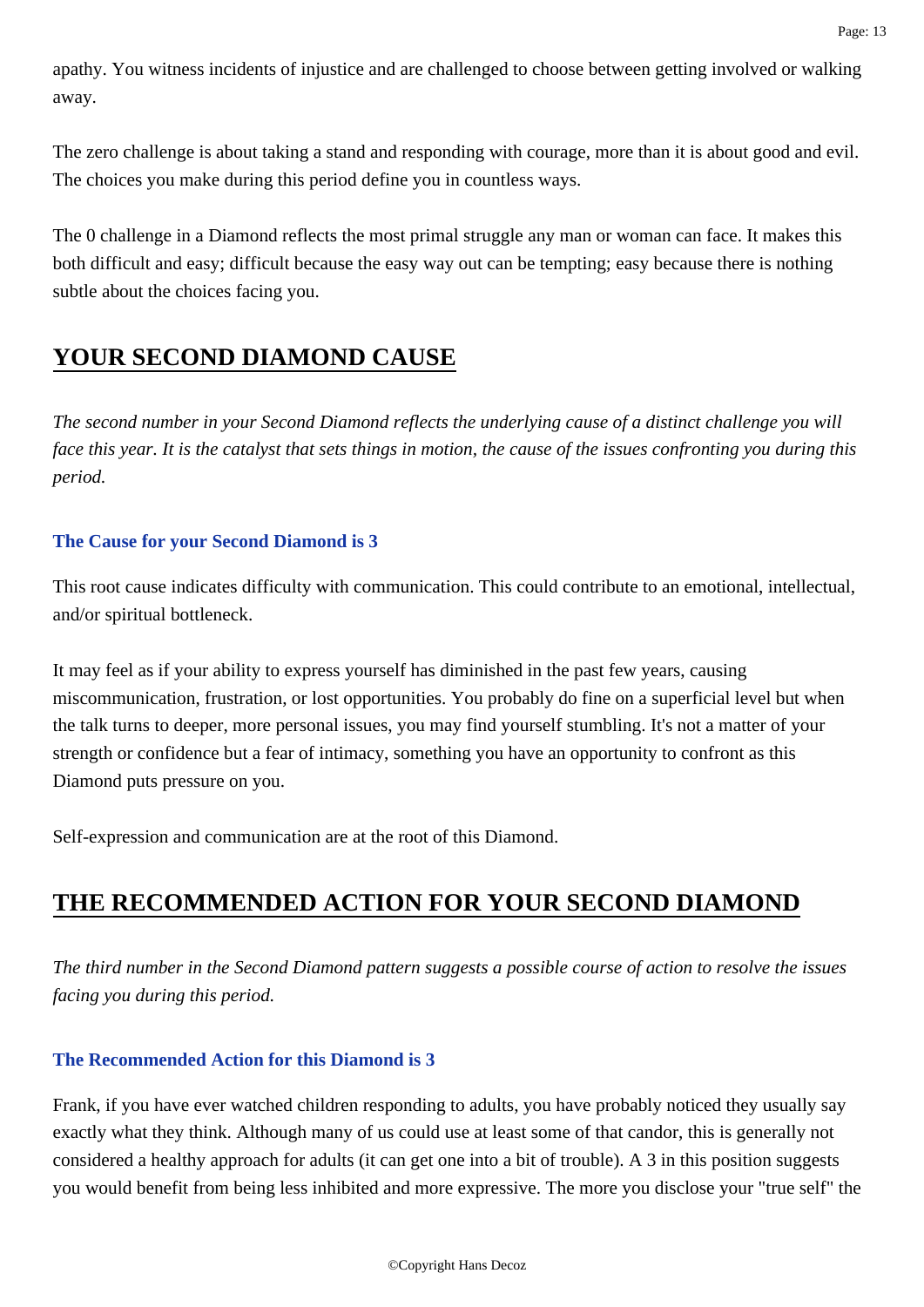apathy. You witness incidents of injustice and are challenged to choose between getting involved or walking away.

The zero challenge is about taking a stand and responding with courage, more than it is about good and evil. The choices you make during this period define you in countless ways.

The 0 challenge in a Diamond reflects the most primal struggle any man or woman can face. It makes this both difficult and easy; difficult because the easy way out can be tempting; easy because there is nothing subtle about the choices facing you.

# **YOUR SECOND DIAMOND CAUSE**

*The second number in your Second Diamond reflects the underlying cause of a distinct challenge you will face this year. It is the catalyst that sets things in motion, the cause of the issues confronting you during this period.*

## **The Cause for your Second Diamond is 3**

This root cause indicates difficulty with communication. This could contribute to an emotional, intellectual, and/or spiritual bottleneck.

It may feel as if your ability to express yourself has diminished in the past few years, causing miscommunication, frustration, or lost opportunities. You probably do fine on a superficial level but when the talk turns to deeper, more personal issues, you may find yourself stumbling. It's not a matter of your strength or confidence but a fear of intimacy, something you have an opportunity to confront as this Diamond puts pressure on you.

Self-expression and communication are at the root of this Diamond.

# **THE RECOMMENDED ACTION FOR YOUR SECOND DIAMOND**

*The third number in the Second Diamond pattern suggests a possible course of action to resolve the issues facing you during this period.*

## **The Recommended Action for this Diamond is 3**

Frank, if you have ever watched children responding to adults, you have probably noticed they usually say exactly what they think. Although many of us could use at least some of that candor, this is generally not considered a healthy approach for adults (it can get one into a bit of trouble). A 3 in this position suggests you would benefit from being less inhibited and more expressive. The more you disclose your "true self" the